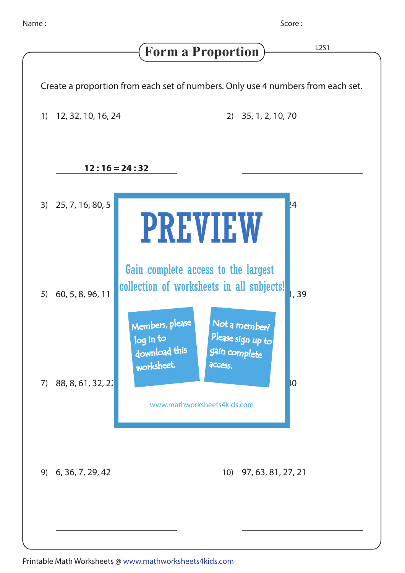Score : <u>\_\_\_\_\_\_\_\_</u>